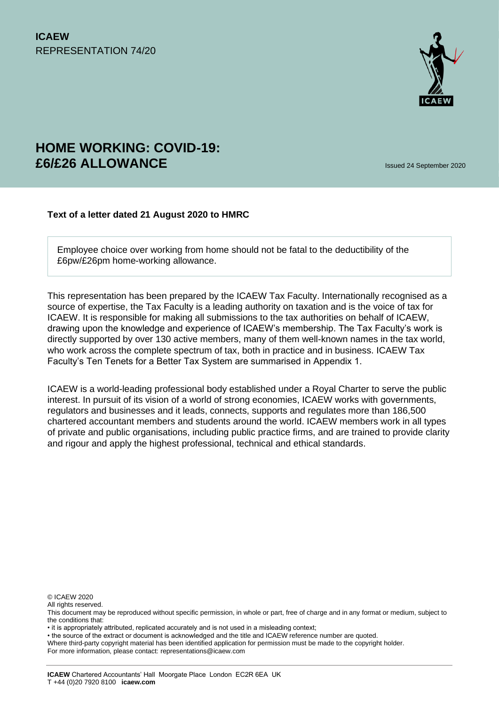

# **HOME WORKING: COVID-19: £6/£26 ALLOWANCE** Issued 24 September <sup>2020</sup>

#### **Text of a letter dated 21 August 2020 to HMRC**

Employee choice over working from home should not be fatal to the deductibility of the £6pw/£26pm home-working allowance.

This representation has been prepared by the ICAEW Tax Faculty. Internationally recognised as a source of expertise, the Tax Faculty is a leading authority on taxation and is the voice of tax for ICAEW. It is responsible for making all submissions to the tax authorities on behalf of ICAEW, drawing upon the knowledge and experience of ICAEW's membership. The Tax Faculty's work is directly supported by over 130 active members, many of them well-known names in the tax world, who work across the complete spectrum of tax, both in practice and in business. ICAEW Tax Faculty's Ten Tenets for a Better Tax System are summarised in Appendix 1.

ICAEW is a world-leading professional body established under a Royal Charter to serve the public interest. In pursuit of its vision of a world of strong economies, ICAEW works with governments, regulators and businesses and it leads, connects, supports and regulates more than 186,500 chartered accountant members and students around the world. ICAEW members work in all types of private and public organisations, including public practice firms, and are trained to provide clarity and rigour and apply the highest professional, technical and ethical standards.

© ICAEW 2020

All rights reserved.

• the source of the extract or document is acknowledged and the title and ICAEW reference number are quoted.

For more information, please contact: representations@icaew.com

This document may be reproduced without specific permission, in whole or part, free of charge and in any format or medium, subject to the conditions that:

<sup>•</sup> it is appropriately attributed, replicated accurately and is not used in a misleading context;

Where third-party copyright material has been identified application for permission must be made to the copyright holder.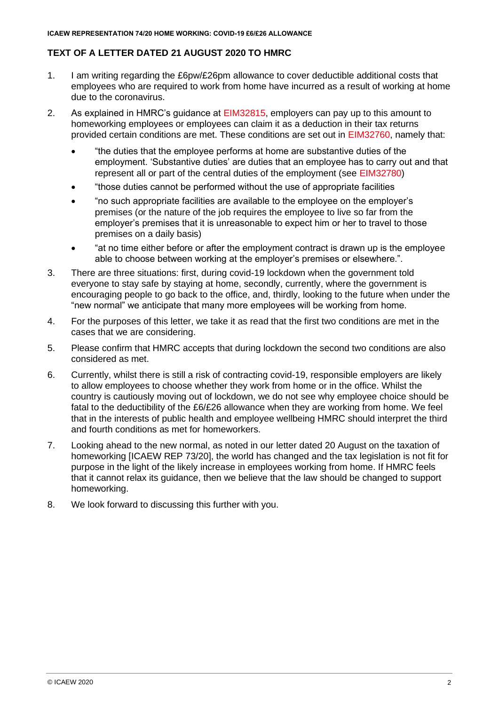# **TEXT OF A LETTER DATED 21 AUGUST 2020 TO HMRC**

- 1. I am writing regarding the £6pw/£26pm allowance to cover deductible additional costs that employees who are required to work from home have incurred as a result of working at home due to the coronavirus.
- 2. As explained in HMRC's guidance at [EIM32815,](https://www.gov.uk/hmrc-internal-manuals/employment-income-manual/eim32815) employers can pay up to this amount to homeworking employees or employees can claim it as a deduction in their tax returns provided certain conditions are met. These conditions are set out in [EIM32760,](https://www.gov.uk/hmrc-internal-manuals/employment-income-manual/eim32760) namely that:
	- "the duties that the employee performs at home are substantive duties of the employment. 'Substantive duties' are duties that an employee has to carry out and that represent all or part of the central duties of the employment (see [EIM32780\)](https://www.gov.uk/hmrc-internal-manuals/employment-income-manual/eim32780)
	- "those duties cannot be performed without the use of appropriate facilities
	- "no such appropriate facilities are available to the employee on the employer's premises (or the nature of the job requires the employee to live so far from the employer's premises that it is unreasonable to expect him or her to travel to those premises on a daily basis)
	- "at no time either before or after the employment contract is drawn up is the employee able to choose between working at the employer's premises or elsewhere.".
- 3. There are three situations: first, during covid-19 lockdown when the government told everyone to stay safe by staying at home, secondly, currently, where the government is encouraging people to go back to the office, and, thirdly, looking to the future when under the "new normal" we anticipate that many more employees will be working from home.
- 4. For the purposes of this letter, we take it as read that the first two conditions are met in the cases that we are considering.
- 5. Please confirm that HMRC accepts that during lockdown the second two conditions are also considered as met.
- 6. Currently, whilst there is still a risk of contracting covid-19, responsible employers are likely to allow employees to choose whether they work from home or in the office. Whilst the country is cautiously moving out of lockdown, we do not see why employee choice should be fatal to the deductibility of the £6/£26 allowance when they are working from home. We feel that in the interests of public health and employee wellbeing HMRC should interpret the third and fourth conditions as met for homeworkers.
- 7. Looking ahead to the new normal, as noted in our letter dated 20 August on the taxation of homeworking [ICAEW REP 73/20], the world has changed and the tax legislation is not fit for purpose in the light of the likely increase in employees working from home. If HMRC feels that it cannot relax its guidance, then we believe that the law should be changed to support homeworking.
- 8. We look forward to discussing this further with you.